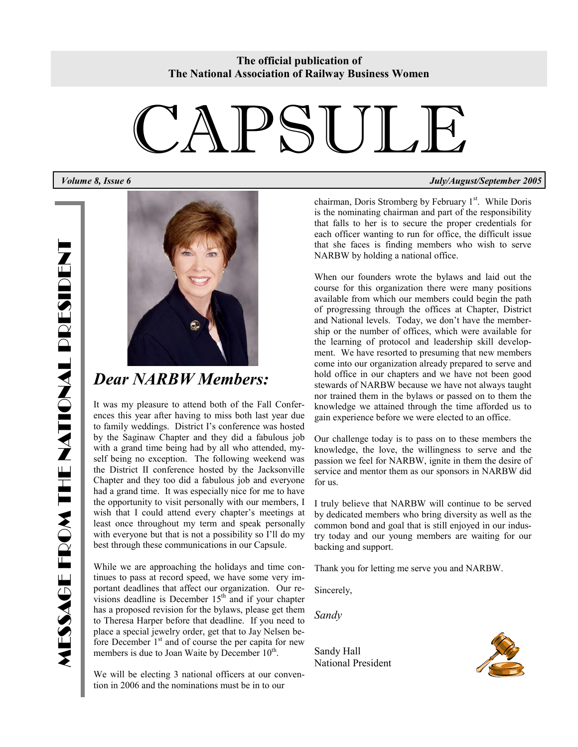# CAPSULE



### *Dear NARBW Members:*

It was my pleasure to attend both of the Fall Conferences this year after having to miss both last year due to family weddings. District I's conference was hosted by the Saginaw Chapter and they did a fabulous job with a grand time being had by all who attended, myself being no exception. The following weekend was the District II conference hosted by the Jacksonville Chapter and they too did a fabulous job and everyone had a grand time. It was especially nice for me to have the opportunity to visit personally with our members, I wish that I could attend every chapter's meetings at least once throughout my term and speak personally with everyone but that is not a possibility so I'll do my best through these communications in our Capsule.

While we are approaching the holidays and time continues to pass at record speed, we have some very important deadlines that affect our organization. Our revisions deadline is December  $15<sup>th</sup>$  and if your chapter has a proposed revision for the bylaws, please get them to Theresa Harper before that deadline. If you need to place a special jewelry order, get that to Jay Nelsen before December  $1<sup>st</sup>$  and of course the per capita for new members is due to Joan Waite by December 10<sup>th</sup>.

We will be electing 3 national officers at our convention in 2006 and the nominations must be in to our

*Volume 8, Issue 6 July/August/September 2005* 

chairman, Doris Stromberg by February  $1<sup>st</sup>$ . While Doris is the nominating chairman and part of the responsibility that falls to her is to secure the proper credentials for each officer wanting to run for office, the difficult issue that she faces is finding members who wish to serve NARBW by holding a national office.

When our founders wrote the bylaws and laid out the course for this organization there were many positions available from which our members could begin the path of progressing through the offices at Chapter, District and National levels. Today, we don't have the membership or the number of offices, which were available for the learning of protocol and leadership skill development. We have resorted to presuming that new members come into our organization already prepared to serve and hold office in our chapters and we have not been good stewards of NARBW because we have not always taught nor trained them in the bylaws or passed on to them the knowledge we attained through the time afforded us to gain experience before we were elected to an office.

Our challenge today is to pass on to these members the knowledge, the love, the willingness to serve and the passion we feel for NARBW, ignite in them the desire of service and mentor them as our sponsors in NARBW did for us.

I truly believe that NARBW will continue to be served by dedicated members who bring diversity as well as the common bond and goal that is still enjoyed in our industry today and our young members are waiting for our backing and support.

Thank you for letting me serve you and NARBW.

Sincerely,

*Sandy* 

Sandy Hall National President

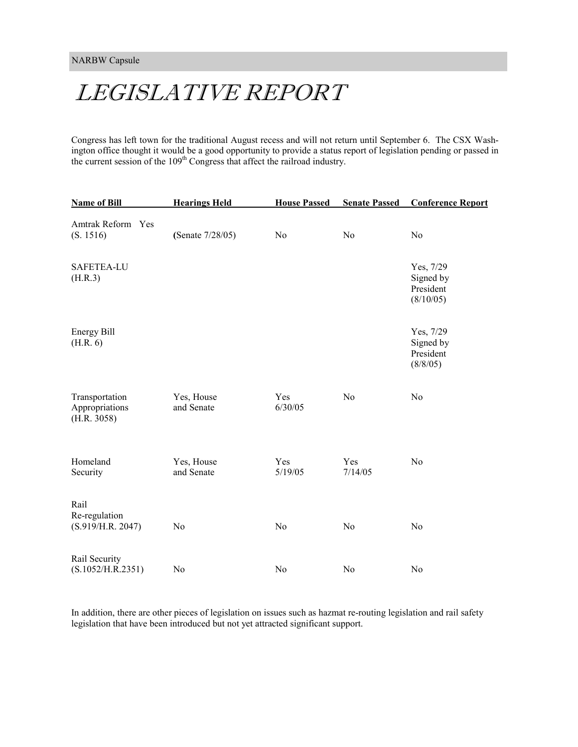### LEGISLATIVE REPORT

Congress has left town for the traditional August recess and will not return until September 6. The CSX Washington office thought it would be a good opportunity to provide a status report of legislation pending or passed in the current session of the 109<sup>th</sup> Congress that affect the railroad industry.

| <b>Name of Bill</b>                             | <b>Hearings Held</b>     | <b>House Passed</b> | <b>Senate Passed</b> | <b>Conference Report</b>                         |
|-------------------------------------------------|--------------------------|---------------------|----------------------|--------------------------------------------------|
| Amtrak Reform Yes<br>(S. 1516)                  | (Senate 7/28/05)         | No                  | N <sub>0</sub>       | N <sub>o</sub>                                   |
| SAFETEA-LU<br>(H.R.3)                           |                          |                     |                      | Yes, 7/29<br>Signed by<br>President<br>(8/10/05) |
| Energy Bill<br>(H.R. 6)                         |                          |                     |                      | Yes, 7/29<br>Signed by<br>President<br>(8/8/05)  |
| Transportation<br>Appropriations<br>(H.R. 3058) | Yes, House<br>and Senate | Yes<br>6/30/05      | N <sub>0</sub>       | N <sub>0</sub>                                   |
| Homeland<br>Security                            | Yes, House<br>and Senate | Yes<br>5/19/05      | Yes<br>7/14/05       | N <sub>0</sub>                                   |
| Rail<br>Re-regulation<br>(S.919/H.R. 2047)      | N <sub>0</sub>           | N <sub>o</sub>      | N <sub>o</sub>       | N <sub>o</sub>                                   |
| Rail Security<br>(S.1052/H.R.2351)              | N <sub>0</sub>           | N <sub>0</sub>      | N <sub>0</sub>       | N <sub>o</sub>                                   |

In addition, there are other pieces of legislation on issues such as hazmat re-routing legislation and rail safety legislation that have been introduced but not yet attracted significant support.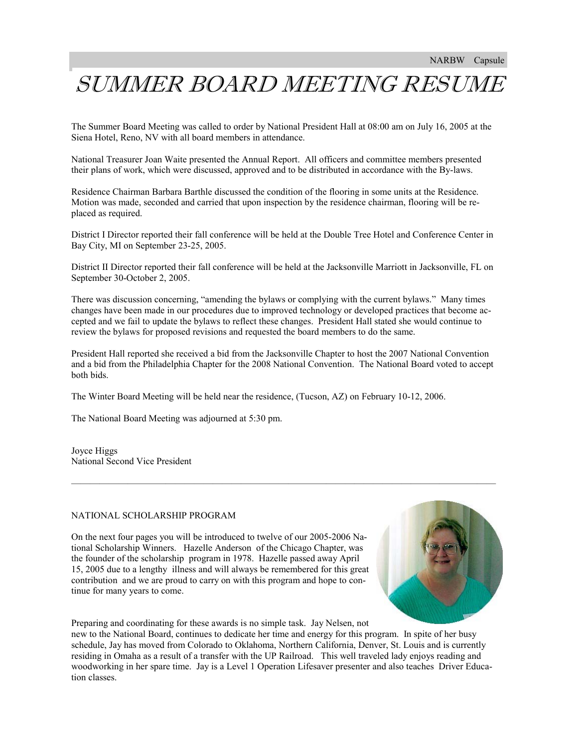### I SUMMER BOARD MEETING RESUME

The Summer Board Meeting was called to order by National President Hall at 08:00 am on July 16, 2005 at the Siena Hotel, Reno, NV with all board members in attendance.

National Treasurer Joan Waite presented the Annual Report. All officers and committee members presented their plans of work, which were discussed, approved and to be distributed in accordance with the By-laws.

Residence Chairman Barbara Barthle discussed the condition of the flooring in some units at the Residence. Motion was made, seconded and carried that upon inspection by the residence chairman, flooring will be replaced as required.

District I Director reported their fall conference will be held at the Double Tree Hotel and Conference Center in Bay City, MI on September 23-25, 2005.

District II Director reported their fall conference will be held at the Jacksonville Marriott in Jacksonville, FL on September 30-October 2, 2005.

There was discussion concerning, "amending the bylaws or complying with the current bylaws." Many times changes have been made in our procedures due to improved technology or developed practices that become accepted and we fail to update the bylaws to reflect these changes. President Hall stated she would continue to review the bylaws for proposed revisions and requested the board members to do the same.

President Hall reported she received a bid from the Jacksonville Chapter to host the 2007 National Convention and a bid from the Philadelphia Chapter for the 2008 National Convention. The National Board voted to accept both bids.

—————————————————————————————————————————————

The Winter Board Meeting will be held near the residence, (Tucson, AZ) on February 10-12, 2006.

The National Board Meeting was adjourned at 5:30 pm.

Joyce Higgs National Second Vice President

#### NATIONAL SCHOLARSHIP PROGRAM

On the next four pages you will be introduced to twelve of our 2005-2006 National Scholarship Winners. Hazelle Anderson of the Chicago Chapter, was the founder of the scholarship program in 1978. Hazelle passed away April 15, 2005 due to a lengthy illness and will always be remembered for this great contribution and we are proud to carry on with this program and hope to continue for many years to come.



Preparing and coordinating for these awards is no simple task. Jay Nelsen, not new to the National Board, continues to dedicate her time and energy for this program. In spite of her busy schedule, Jay has moved from Colorado to Oklahoma, Northern California, Denver, St. Louis and is currently residing in Omaha as a result of a transfer with the UP Railroad. This well traveled lady enjoys reading and woodworking in her spare time. Jay is a Level 1 Operation Lifesaver presenter and also teaches Driver Education classes.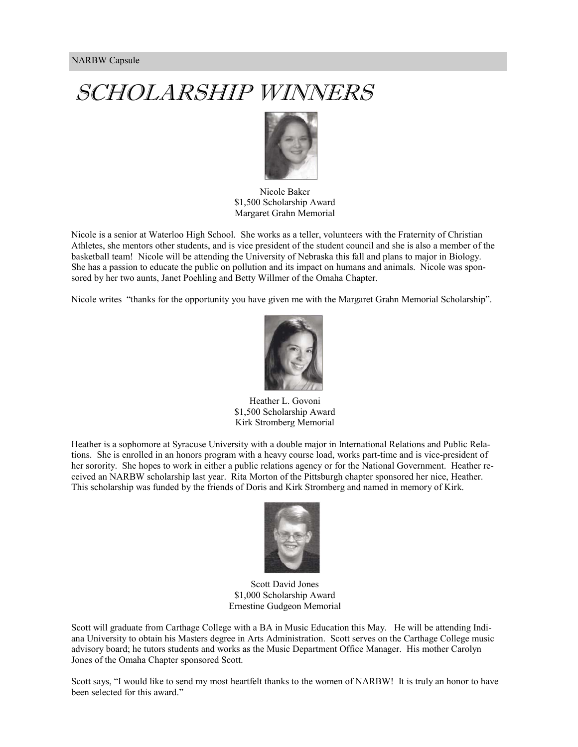

Nicole Baker \$1,500 Scholarship Award Margaret Grahn Memorial

Nicole is a senior at Waterloo High School. She works as a teller, volunteers with the Fraternity of Christian Athletes, she mentors other students, and is vice president of the student council and she is also a member of the basketball team! Nicole will be attending the University of Nebraska this fall and plans to major in Biology. She has a passion to educate the public on pollution and its impact on humans and animals. Nicole was sponsored by her two aunts, Janet Poehling and Betty Willmer of the Omaha Chapter.

Nicole writes "thanks for the opportunity you have given me with the Margaret Grahn Memorial Scholarship".



Heather L. Govoni \$1,500 Scholarship Award Kirk Stromberg Memorial

Heather is a sophomore at Syracuse University with a double major in International Relations and Public Relations. She is enrolled in an honors program with a heavy course load, works part-time and is vice-president of her sorority. She hopes to work in either a public relations agency or for the National Government. Heather received an NARBW scholarship last year. Rita Morton of the Pittsburgh chapter sponsored her nice, Heather. This scholarship was funded by the friends of Doris and Kirk Stromberg and named in memory of Kirk.



Scott David Jones \$1,000 Scholarship Award Ernestine Gudgeon Memorial

Scott will graduate from Carthage College with a BA in Music Education this May. He will be attending Indiana University to obtain his Masters degree in Arts Administration. Scott serves on the Carthage College music advisory board; he tutors students and works as the Music Department Office Manager. His mother Carolyn Jones of the Omaha Chapter sponsored Scott.

Scott says, "I would like to send my most heartfelt thanks to the women of NARBW! It is truly an honor to have been selected for this award."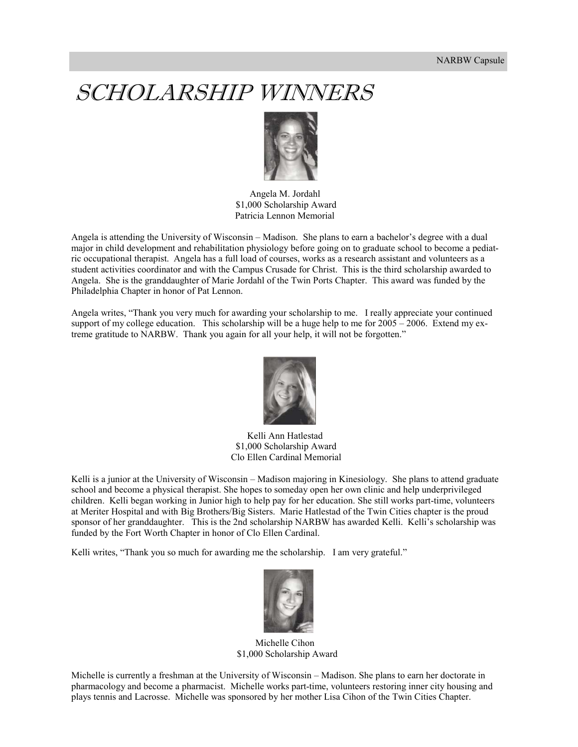

Angela M. Jordahl \$1,000 Scholarship Award Patricia Lennon Memorial

Angela is attending the University of Wisconsin – Madison. She plans to earn a bachelor's degree with a dual major in child development and rehabilitation physiology before going on to graduate school to become a pediatric occupational therapist. Angela has a full load of courses, works as a research assistant and volunteers as a student activities coordinator and with the Campus Crusade for Christ. This is the third scholarship awarded to Angela. She is the granddaughter of Marie Jordahl of the Twin Ports Chapter. This award was funded by the Philadelphia Chapter in honor of Pat Lennon.

Angela writes, "Thank you very much for awarding your scholarship to me. I really appreciate your continued support of my college education. This scholarship will be a huge help to me for 2005 – 2006. Extend my extreme gratitude to NARBW. Thank you again for all your help, it will not be forgotten."



Kelli Ann Hatlestad \$1,000 Scholarship Award Clo Ellen Cardinal Memorial

Kelli is a junior at the University of Wisconsin – Madison majoring in Kinesiology. She plans to attend graduate school and become a physical therapist. She hopes to someday open her own clinic and help underprivileged children. Kelli began working in Junior high to help pay for her education. She still works part-time, volunteers at Meriter Hospital and with Big Brothers/Big Sisters. Marie Hatlestad of the Twin Cities chapter is the proud sponsor of her granddaughter. This is the 2nd scholarship NARBW has awarded Kelli. Kelli's scholarship was funded by the Fort Worth Chapter in honor of Clo Ellen Cardinal.

Kelli writes, "Thank you so much for awarding me the scholarship. I am very grateful."



Michelle Cihon \$1,000 Scholarship Award

Michelle is currently a freshman at the University of Wisconsin – Madison. She plans to earn her doctorate in pharmacology and become a pharmacist. Michelle works part-time, volunteers restoring inner city housing and plays tennis and Lacrosse. Michelle was sponsored by her mother Lisa Cihon of the Twin Cities Chapter.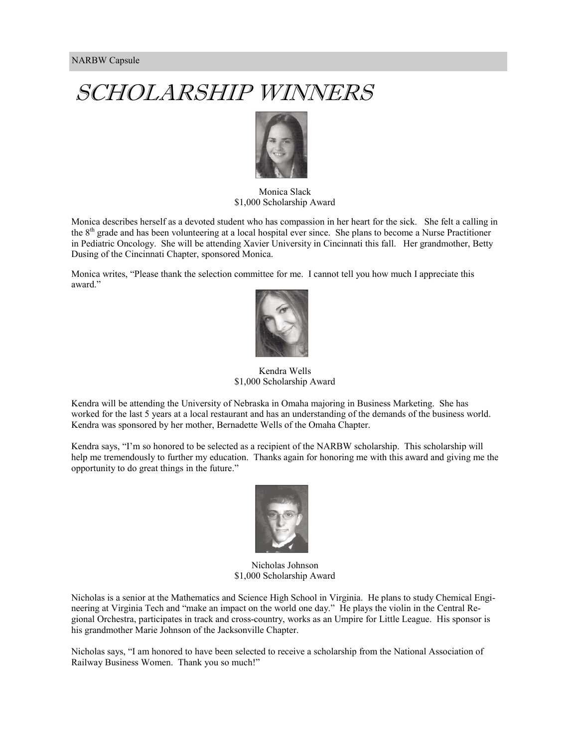

### Monica Slack \$1,000 Scholarship Award

Monica describes herself as a devoted student who has compassion in her heart for the sick. She felt a calling in the 8<sup>th</sup> grade and has been volunteering at a local hospital ever since. She plans to become a Nurse Practitioner in Pediatric Oncology. She will be attending Xavier University in Cincinnati this fall. Her grandmother, Betty Dusing of the Cincinnati Chapter, sponsored Monica.

Monica writes, "Please thank the selection committee for me. I cannot tell you how much I appreciate this award."



Kendra Wells \$1,000 Scholarship Award

Kendra will be attending the University of Nebraska in Omaha majoring in Business Marketing. She has worked for the last 5 years at a local restaurant and has an understanding of the demands of the business world. Kendra was sponsored by her mother, Bernadette Wells of the Omaha Chapter.

Kendra says, "I'm so honored to be selected as a recipient of the NARBW scholarship. This scholarship will help me tremendously to further my education. Thanks again for honoring me with this award and giving me the opportunity to do great things in the future."



Nicholas Johnson \$1,000 Scholarship Award

Nicholas is a senior at the Mathematics and Science High School in Virginia. He plans to study Chemical Engineering at Virginia Tech and "make an impact on the world one day." He plays the violin in the Central Regional Orchestra, participates in track and cross-country, works as an Umpire for Little League. His sponsor is his grandmother Marie Johnson of the Jacksonville Chapter.

Nicholas says, "I am honored to have been selected to receive a scholarship from the National Association of Railway Business Women. Thank you so much!"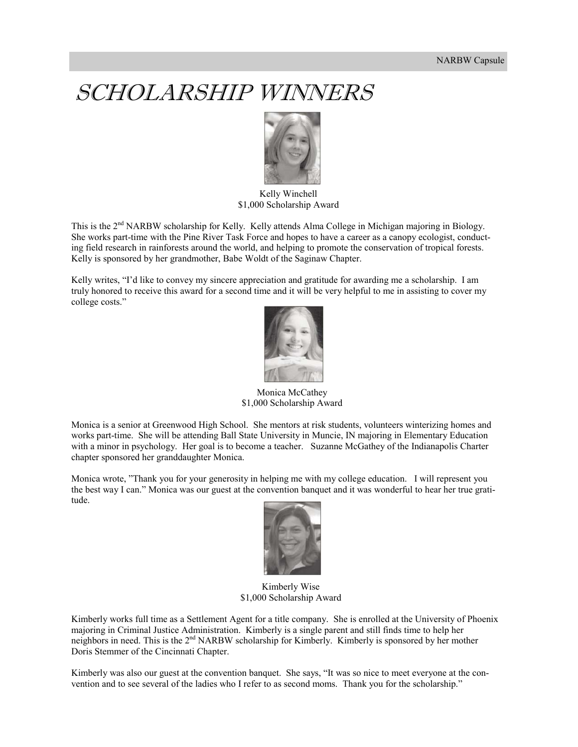

 Kelly Winchell \$1,000 Scholarship Award

This is the 2<sup>nd</sup> NARBW scholarship for Kelly. Kelly attends Alma College in Michigan majoring in Biology. She works part-time with the Pine River Task Force and hopes to have a career as a canopy ecologist, conducting field research in rainforests around the world, and helping to promote the conservation of tropical forests. Kelly is sponsored by her grandmother, Babe Woldt of the Saginaw Chapter.

Kelly writes, "I'd like to convey my sincere appreciation and gratitude for awarding me a scholarship. I am truly honored to receive this award for a second time and it will be very helpful to me in assisting to cover my college costs."



 Monica McCathey \$1,000 Scholarship Award

Monica is a senior at Greenwood High School. She mentors at risk students, volunteers winterizing homes and works part-time. She will be attending Ball State University in Muncie, IN majoring in Elementary Education with a minor in psychology. Her goal is to become a teacher. Suzanne McGathey of the Indianapolis Charter chapter sponsored her granddaughter Monica.

Monica wrote, "Thank you for your generosity in helping me with my college education. I will represent you the best way I can." Monica was our guest at the convention banquet and it was wonderful to hear her true gratitude.



 Kimberly Wise \$1,000 Scholarship Award

Kimberly works full time as a Settlement Agent for a title company. She is enrolled at the University of Phoenix majoring in Criminal Justice Administration. Kimberly is a single parent and still finds time to help her neighbors in need. This is the 2<sup>nd</sup> NARBW scholarship for Kimberly. Kimberly is sponsored by her mother Doris Stemmer of the Cincinnati Chapter.

Kimberly was also our guest at the convention banquet. She says, "It was so nice to meet everyone at the convention and to see several of the ladies who I refer to as second moms. Thank you for the scholarship."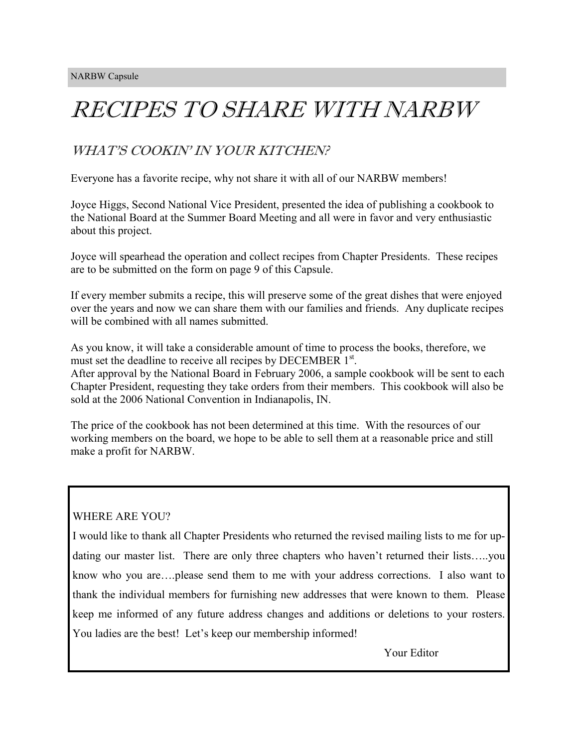# RECIPES TO SHARE WITH NARBW

### WHAT'S COOKIN' IN YOUR KITCHEN?

Everyone has a favorite recipe, why not share it with all of our NARBW members!

Joyce Higgs, Second National Vice President, presented the idea of publishing a cookbook to the National Board at the Summer Board Meeting and all were in favor and very enthusiastic about this project.

Joyce will spearhead the operation and collect recipes from Chapter Presidents. These recipes are to be submitted on the form on page 9 of this Capsule.

If every member submits a recipe, this will preserve some of the great dishes that were enjoyed over the years and now we can share them with our families and friends. Any duplicate recipes will be combined with all names submitted.

As you know, it will take a considerable amount of time to process the books, therefore, we must set the deadline to receive all recipes by DECEMBER 1<sup>st</sup>. After approval by the National Board in February 2006, a sample cookbook will be sent to each Chapter President, requesting they take orders from their members. This cookbook will also be sold at the 2006 National Convention in Indianapolis, IN.

The price of the cookbook has not been determined at this time. With the resources of our working members on the board, we hope to be able to sell them at a reasonable price and still make a profit for NARBW.

### WHERE ARE YOU?

I would like to thank all Chapter Presidents who returned the revised mailing lists to me for updating our master list. There are only three chapters who haven't returned their lists…..you know who you are….please send them to me with your address corrections. I also want to thank the individual members for furnishing new addresses that were known to them. Please keep me informed of any future address changes and additions or deletions to your rosters. You ladies are the best! Let's keep our membership informed!

Your Editor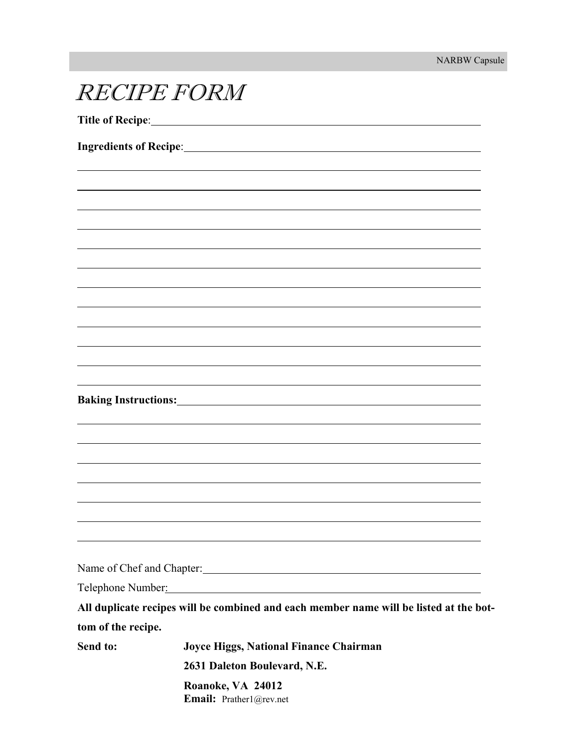| <b>Ingredients of Recipe:_</b> |                                                                                        |
|--------------------------------|----------------------------------------------------------------------------------------|
|                                |                                                                                        |
|                                |                                                                                        |
|                                |                                                                                        |
|                                |                                                                                        |
|                                |                                                                                        |
|                                |                                                                                        |
|                                |                                                                                        |
|                                |                                                                                        |
|                                |                                                                                        |
|                                |                                                                                        |
|                                |                                                                                        |
|                                |                                                                                        |
|                                |                                                                                        |
| <b>Baking Instructions:</b>    |                                                                                        |
|                                |                                                                                        |
|                                |                                                                                        |
|                                |                                                                                        |
|                                |                                                                                        |
|                                |                                                                                        |
|                                |                                                                                        |
|                                |                                                                                        |
|                                | Name of Chef and Chapter:                                                              |
| Telephone Number:              |                                                                                        |
|                                | All duplicate recipes will be combined and each member name will be listed at the bot- |
| tom of the recipe.             |                                                                                        |
| Send to:                       | Joyce Higgs, National Finance Chairman                                                 |
|                                | 2631 Daleton Boulevard, N.E.                                                           |
|                                | Roanoke, VA 24012<br>Email: Prather1@rev.net                                           |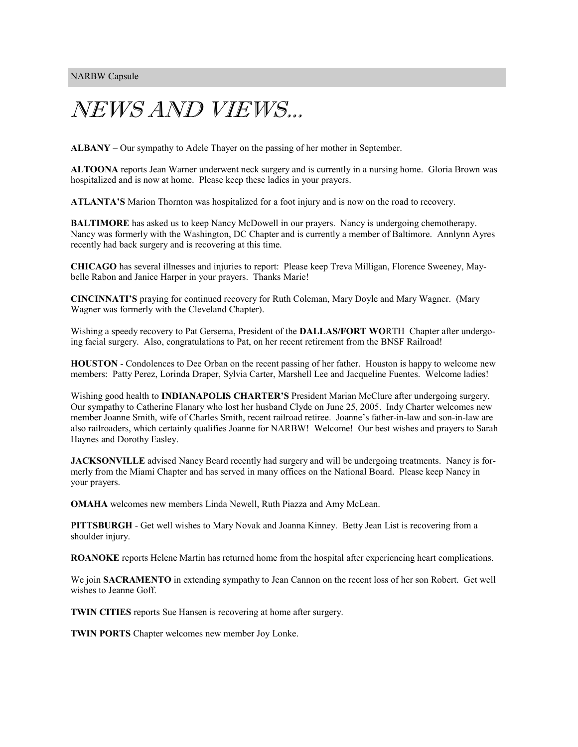## NEWS AND VIEWS...

**ALBANY** – Our sympathy to Adele Thayer on the passing of her mother in September.

**ALTOONA** reports Jean Warner underwent neck surgery and is currently in a nursing home. Gloria Brown was hospitalized and is now at home. Please keep these ladies in your prayers.

**ATLANTA'S** Marion Thornton was hospitalized for a foot injury and is now on the road to recovery.

**BALTIMORE** has asked us to keep Nancy McDowell in our prayers. Nancy is undergoing chemotherapy. Nancy was formerly with the Washington, DC Chapter and is currently a member of Baltimore. Annlynn Ayres recently had back surgery and is recovering at this time.

**CHICAGO** has several illnesses and injuries to report: Please keep Treva Milligan, Florence Sweeney, Maybelle Rabon and Janice Harper in your prayers. Thanks Marie!

**CINCINNATI'S** praying for continued recovery for Ruth Coleman, Mary Doyle and Mary Wagner. (Mary Wagner was formerly with the Cleveland Chapter).

Wishing a speedy recovery to Pat Gersema, President of the **DALLAS/FORT WO**RTH Chapter after undergoing facial surgery. Also, congratulations to Pat, on her recent retirement from the BNSF Railroad!

**HOUSTON** - Condolences to Dee Orban on the recent passing of her father. Houston is happy to welcome new members: Patty Perez, Lorinda Draper, Sylvia Carter, Marshell Lee and Jacqueline Fuentes. Welcome ladies!

Wishing good health to **INDIANAPOLIS CHARTER'S** President Marian McClure after undergoing surgery. Our sympathy to Catherine Flanary who lost her husband Clyde on June 25, 2005. Indy Charter welcomes new member Joanne Smith, wife of Charles Smith, recent railroad retiree. Joanne's father-in-law and son-in-law are also railroaders, which certainly qualifies Joanne for NARBW! Welcome! Our best wishes and prayers to Sarah Haynes and Dorothy Easley.

**JACKSONVILLE** advised Nancy Beard recently had surgery and will be undergoing treatments. Nancy is formerly from the Miami Chapter and has served in many offices on the National Board. Please keep Nancy in your prayers.

**OMAHA** welcomes new members Linda Newell, Ruth Piazza and Amy McLean.

**PITTSBURGH** - Get well wishes to Mary Novak and Joanna Kinney. Betty Jean List is recovering from a shoulder injury.

**ROANOKE** reports Helene Martin has returned home from the hospital after experiencing heart complications.

We join **SACRAMENTO** in extending sympathy to Jean Cannon on the recent loss of her son Robert. Get well wishes to Jeanne Goff.

**TWIN CITIES** reports Sue Hansen is recovering at home after surgery.

**TWIN PORTS** Chapter welcomes new member Joy Lonke.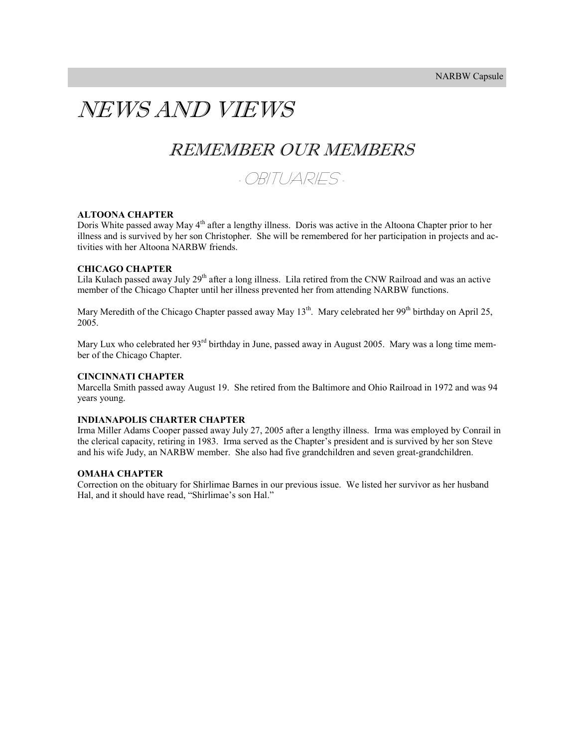### NEWS AND VIEWS

### REMEMBER OUR MEMBERS



#### **ALTOONA CHAPTER**

Doris White passed away May 4<sup>th</sup> after a lengthy illness. Doris was active in the Altoona Chapter prior to her illness and is survived by her son Christopher. She will be remembered for her participation in projects and activities with her Altoona NARBW friends.

#### **CHICAGO CHAPTER**

Lila Kulach passed away July  $29<sup>th</sup>$  after a long illness. Lila retired from the CNW Railroad and was an active member of the Chicago Chapter until her illness prevented her from attending NARBW functions.

Mary Meredith of the Chicago Chapter passed away May 13<sup>th</sup>. Mary celebrated her 99<sup>th</sup> birthday on April 25, 2005.

Mary Lux who celebrated her 93<sup>rd</sup> birthday in June, passed away in August 2005. Mary was a long time member of the Chicago Chapter.

#### **CINCINNATI CHAPTER**

Marcella Smith passed away August 19. She retired from the Baltimore and Ohio Railroad in 1972 and was 94 years young.

#### **INDIANAPOLIS CHARTER CHAPTER**

Irma Miller Adams Cooper passed away July 27, 2005 after a lengthy illness. Irma was employed by Conrail in the clerical capacity, retiring in 1983. Irma served as the Chapter's president and is survived by her son Steve and his wife Judy, an NARBW member. She also had five grandchildren and seven great-grandchildren.

#### **OMAHA CHAPTER**

Correction on the obituary for Shirlimae Barnes in our previous issue. We listed her survivor as her husband Hal, and it should have read, "Shirlimae's son Hal."